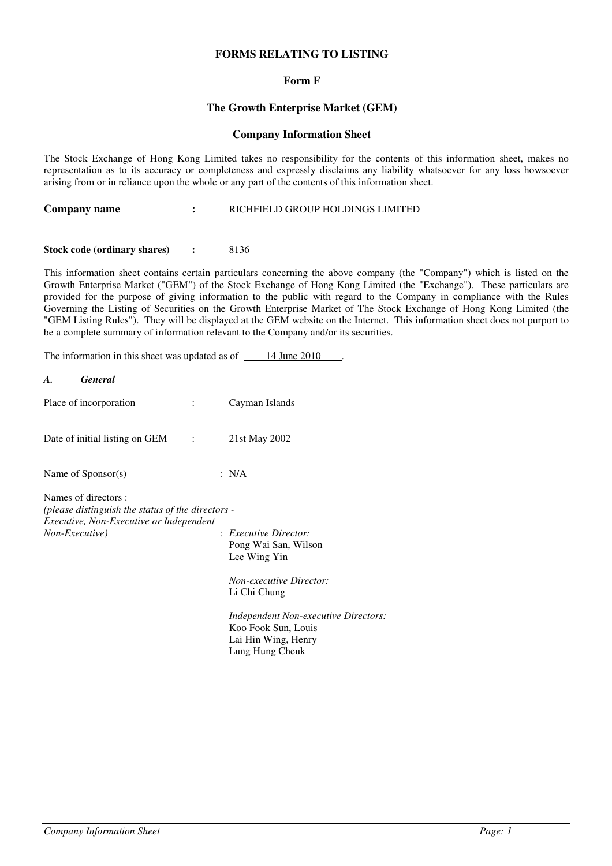## **FORMS RELATING TO LISTING**

### **Form F**

### **The Growth Enterprise Market (GEM)**

#### **Company Information Sheet**

The Stock Exchange of Hong Kong Limited takes no responsibility for the contents of this information sheet, makes no representation as to its accuracy or completeness and expressly disclaims any liability whatsoever for any loss howsoever arising from or in reliance upon the whole or any part of the contents of this information sheet.

| Company name | RICHFIELD GROUP HOLDINGS LIMITED |
|--------------|----------------------------------|
|--------------|----------------------------------|

#### **Stock code (ordinary shares) :** 8136

This information sheet contains certain particulars concerning the above company (the "Company") which is listed on the Growth Enterprise Market ("GEM") of the Stock Exchange of Hong Kong Limited (the "Exchange"). These particulars are provided for the purpose of giving information to the public with regard to the Company in compliance with the Rules Governing the Listing of Securities on the Growth Enterprise Market of The Stock Exchange of Hong Kong Limited (the "GEM Listing Rules"). They will be displayed at the GEM website on the Internet. This information sheet does not purport to be a complete summary of information relevant to the Company and/or its securities.

The information in this sheet was updated as of  $\frac{14 \text{ June } 2010}{\text{.}}$ .

| A.             | <b>General</b>                                                                                                       |                                                                                                                                                                                                                                 |
|----------------|----------------------------------------------------------------------------------------------------------------------|---------------------------------------------------------------------------------------------------------------------------------------------------------------------------------------------------------------------------------|
|                | Place of incorporation                                                                                               | Cayman Islands                                                                                                                                                                                                                  |
|                | Date of initial listing on GEM :                                                                                     | 21st May 2002                                                                                                                                                                                                                   |
|                | Name of $Sponsor(s)$                                                                                                 | : $N/A$                                                                                                                                                                                                                         |
| Non-Executive) | Names of directors :<br>(please distinguish the status of the directors -<br>Executive, Non-Executive or Independent | : Executive Director:<br>Pong Wai San, Wilson<br>Lee Wing Yin<br><b>Non-executive Director:</b><br>Li Chi Chung<br><b>Independent Non-executive Directors:</b><br>Koo Fook Sun, Louis<br>Lai Hin Wing, Henry<br>Lung Hung Cheuk |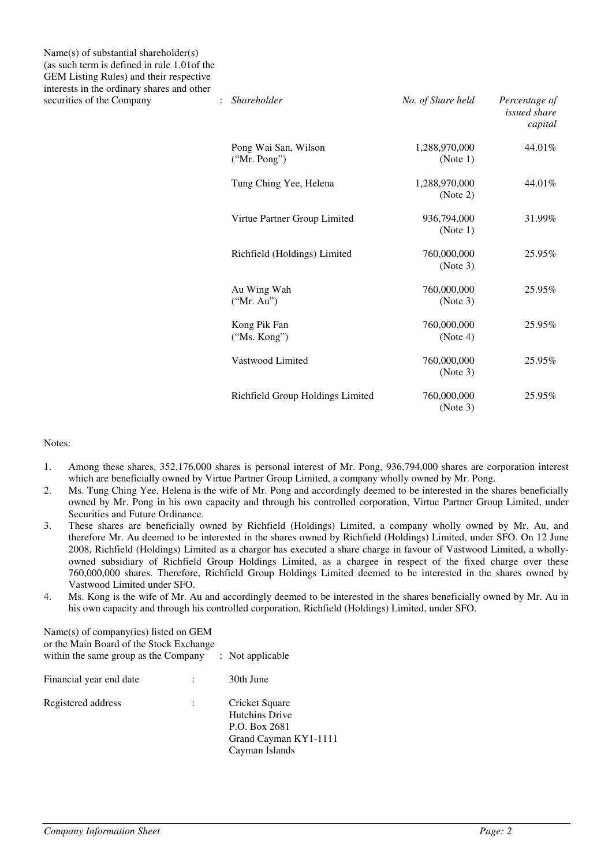Name(s) of substantial shareholder(s) (as such term is defined in rule 1.01of the GEM Listing Rules) and their respective interests in the ordinary shares and other  $S<sub>1</sub>$  *securities of the Company*  $S<sub>2</sub>$  *i* 

| <i>Shareholder</i>                   | No. of Share held         | Percentage of<br><i>issued share</i><br>capital |
|--------------------------------------|---------------------------|-------------------------------------------------|
| Pong Wai San, Wilson<br>("Mr. Pong") | 1,288,970,000<br>(Note 1) | 44.01%                                          |
| Tung Ching Yee, Helena               | 1,288,970,000<br>(Note 2) | 44.01%                                          |
| Virtue Partner Group Limited         | 936.794.000<br>(Note 1)   | 31.99%                                          |
| Richfield (Holdings) Limited         | 760,000,000<br>(Note 3)   | 25.95%                                          |
| Au Wing Wah<br>("Mr. Au")            | 760,000,000<br>(Note 3)   | 25.95%                                          |
| Kong Pik Fan<br>("Ms. Kong")         | 760,000,000<br>(Note 4)   | 25.95%                                          |
| Vastwood Limited                     | 760,000,000<br>(Note 3)   | 25.95%                                          |
| Richfield Group Holdings Limited     | 760,000,000<br>(Note 3)   | 25.95%                                          |

#### Notes:

- 1. Among these shares, 352,176,000 shares is personal interest of Mr. Pong, 936,794,000 shares are corporation interest which are beneficially owned by Virtue Partner Group Limited, a company wholly owned by Mr. Pong.
- 2. Ms. Tung Ching Yee, Helena is the wife of Mr. Pong and accordingly deemed to be interested in the shares beneficially owned by Mr. Pong in his own capacity and through his controlled corporation, Virtue Partner Group Limited, under Securities and Future Ordinance.
- 3. These shares are beneficially owned by Richfield (Holdings) Limited, a company wholly owned by Mr. Au, and therefore Mr. Au deemed to be interested in the shares owned by Richfield (Holdings) Limited, under SFO. On 12 June 2008, Richfield (Holdings) Limited as a chargor has executed a share charge in favour of Vastwood Limited, a whollyowned subsidiary of Richfield Group Holdings Limited, as a chargee in respect of the fixed charge over these 760,000,000 shares. Therefore, Richfield Group Holdings Limited deemed to be interested in the shares owned by Vastwood Limited under SFO.
- 4. Ms. Kong is the wife of Mr. Au and accordingly deemed to be interested in the shares beneficially owned by Mr. Au in his own capacity and through his controlled corporation, Richfield (Holdings) Limited, under SFO.

| Name(s) of company(ies) listed on GEM<br>or the Main Board of the Stock Exchange<br>within the same group as the Company |  | $:$ Not applicable                                                                                  |
|--------------------------------------------------------------------------------------------------------------------------|--|-----------------------------------------------------------------------------------------------------|
| Financial year end date                                                                                                  |  | 30th June                                                                                           |
| Registered address                                                                                                       |  | Cricket Square<br><b>Hutchins Drive</b><br>P.O. Box 2681<br>Grand Cayman KY1-1111<br>Cayman Islands |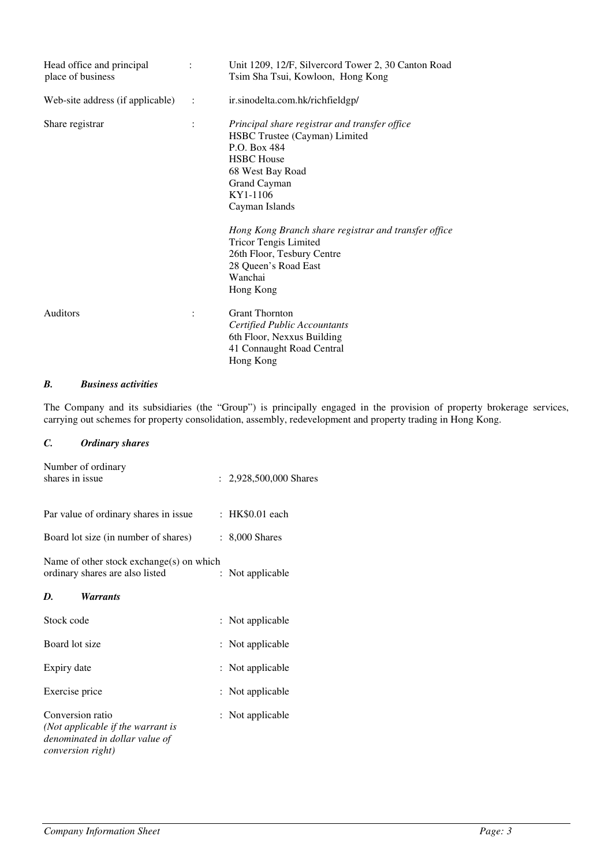| Head office and principal<br>place of business | $\ddot{\phantom{a}}$ | Unit 1209, 12/F, Silvercord Tower 2, 30 Canton Road<br>Tsim Sha Tsui, Kowloon, Hong Kong                                                                                                                                                                                                                                                                    |
|------------------------------------------------|----------------------|-------------------------------------------------------------------------------------------------------------------------------------------------------------------------------------------------------------------------------------------------------------------------------------------------------------------------------------------------------------|
| Web-site address (if applicable)               | $\ddot{\phantom{a}}$ | ir.sinodelta.com.hk/richfieldgp/                                                                                                                                                                                                                                                                                                                            |
| Share registrar                                | $\ddot{\cdot}$       | Principal share registrar and transfer office<br>HSBC Trustee (Cayman) Limited<br>P.O. Box 484<br><b>HSBC</b> House<br>68 West Bay Road<br>Grand Cayman<br>KY1-1106<br>Cayman Islands<br>Hong Kong Branch share registrar and transfer office<br><b>Tricor Tengis Limited</b><br>26th Floor, Tesbury Centre<br>28 Queen's Road East<br>Wanchai<br>Hong Kong |
| Auditors                                       |                      | <b>Grant Thornton</b><br>Certified Public Accountants<br>6th Floor, Nexxus Building<br>41 Connaught Road Central<br>Hong Kong                                                                                                                                                                                                                               |

# *B. Business activities*

The Company and its subsidiaries (the "Group") is principally engaged in the provision of property brokerage services, carrying out schemes for property consolidation, assembly, redevelopment and property trading in Hong Kong.

# *C. Ordinary shares*

| Number of ordinary<br>shares in issue                                                                                |                | : 2,928,500,000 Shares |
|----------------------------------------------------------------------------------------------------------------------|----------------|------------------------|
| Par value of ordinary shares in issue                                                                                |                | : HK\$0.01 each        |
| Board lot size (in number of shares)                                                                                 |                | $: 8,000$ Shares       |
| Name of other stock exchange(s) on which<br>ordinary shares are also listed                                          | $\ddot{\cdot}$ | Not applicable         |
| D.<br><i>Warrants</i>                                                                                                |                |                        |
| Stock code                                                                                                           |                | : Not applicable       |
| Board lot size                                                                                                       |                | : Not applicable       |
| Expiry date                                                                                                          |                | : Not applicable       |
| Exercise price                                                                                                       |                | : Not applicable       |
| Conversion ratio<br>(Not applicable if the warrant is<br>denominated in dollar value of<br><i>conversion right</i> ) |                | : Not applicable       |